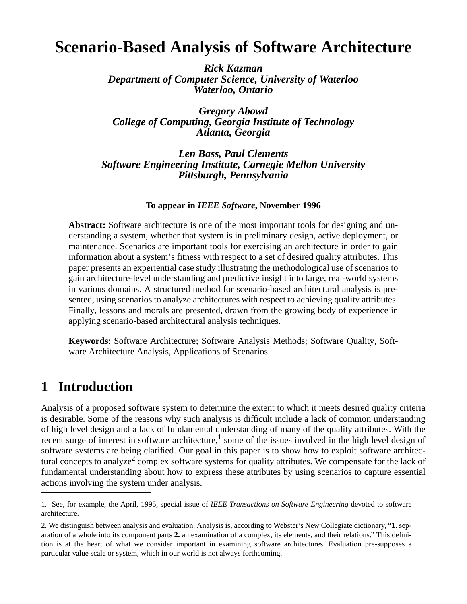# **Scenario-Based Analysis of Software Architecture**

*Rick Kazman Department of Computer Science, University of Waterloo Waterloo, Ontario*

*Gregory Abowd College of Computing, Georgia Institute of Technology Atlanta, Georgia*

*Len Bass, Paul Clements Software Engineering Institute, Carnegie Mellon University Pittsburgh, Pennsylvania*

#### **To appear in** *IEEE Software***, November 1996**

**Abstract:** Software architecture is one of the most important tools for designing and understanding a system, whether that system is in preliminary design, active deployment, or maintenance. Scenarios are important tools for exercising an architecture in order to gain information about a system's fitness with respect to a set of desired quality attributes. This paper presents an experiential case study illustrating the methodological use of scenarios to gain architecture-level understanding and predictive insight into large, real-world systems in various domains. A structured method for scenario-based architectural analysis is presented, using scenarios to analyze architectures with respect to achieving quality attributes. Finally, lessons and morals are presented, drawn from the growing body of experience in applying scenario-based architectural analysis techniques.

**Keywords**: Software Architecture; Software Analysis Methods; Software Quality, Software Architecture Analysis, Applications of Scenarios

## **1 Introduction**

Analysis of a proposed software system to determine the extent to which it meets desired quality criteria is desirable. Some of the reasons why such analysis is difficult include a lack of common understanding of high level design and a lack of fundamental understanding of many of the quality attributes. With the recent surge of interest in software architecture,<sup>1</sup> some of the issues involved in the high level design of software systems are being clarified. Our goal in this paper is to show how to exploit software architectural concepts to analyze<sup>2</sup> complex software systems for quality attributes. We compensate for the lack of fundamental understanding about how to express these attributes by using scenarios to capture essential actions involving the system under analysis.

<sup>1.</sup> See, for example, the April, 1995, special issue of *IEEE Transactions on Software Engineering* devoted to software architecture.

<sup>2.</sup> We distinguish between analysis and evaluation. Analysis is, according to Webster's New Collegiate dictionary, "**1.** separation of a whole into its component parts **2.** an examination of a complex, its elements, and their relations." This definition is at the heart of what we consider important in examining software architectures. Evaluation pre-supposes a particular value scale or system, which in our world is not always forthcoming.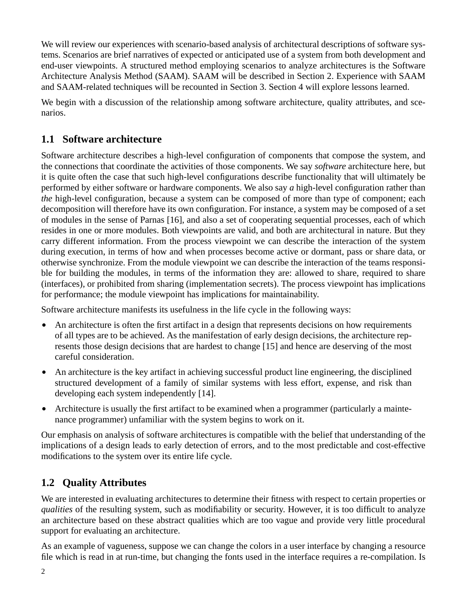We will review our experiences with scenario-based analysis of architectural descriptions of software systems. Scenarios are brief narratives of expected or anticipated use of a system from both development and end-user viewpoints. A structured method employing scenarios to analyze architectures is the Software Architecture Analysis Method (SAAM). SAAM will be described in Section 2. Experience with SAAM and SAAM-related techniques will be recounted in Section 3. Section 4 will explore lessons learned.

We begin with a discussion of the relationship among software architecture, quality attributes, and scenarios.

## **1.1 Software architecture**

Software architecture describes a high-level configuration of components that compose the system, and the connections that coordinate the activities of those components. We say *software* architecture here, but it is quite often the case that such high-level configurations describe functionality that will ultimately be performed by either software or hardware components. We also say *a* high-level configuration rather than *the* high-level configuration, because a system can be composed of more than type of component; each decomposition will therefore have its own configuration. For instance, a system may be composed of a set of modules in the sense of Parnas [16], and also a set of cooperating sequential processes, each of which resides in one or more modules. Both viewpoints are valid, and both are architectural in nature. But they carry different information. From the process viewpoint we can describe the interaction of the system during execution, in terms of how and when processes become active or dormant, pass or share data, or otherwise synchronize. From the module viewpoint we can describe the interaction of the teams responsible for building the modules, in terms of the information they are: allowed to share, required to share (interfaces), or prohibited from sharing (implementation secrets). The process viewpoint has implications for performance; the module viewpoint has implications for maintainability.

Software architecture manifests its usefulness in the life cycle in the following ways:

- An architecture is often the first artifact in a design that represents decisions on how requirements of all types are to be achieved. As the manifestation of early design decisions, the architecture represents those design decisions that are hardest to change [15] and hence are deserving of the most careful consideration.
- **•** An architecture is the key artifact in achieving successful product line engineering, the disciplined structured development of a family of similar systems with less effort, expense, and risk than developing each system independently [14].
- Architecture is usually the first artifact to be examined when a programmer (particularly a maintenance programmer) unfamiliar with the system begins to work on it.

Our emphasis on analysis of software architectures is compatible with the belief that understanding of the implications of a design leads to early detection of errors, and to the most predictable and cost-effective modifications to the system over its entire life cycle.

## **1.2 Quality Attributes**

We are interested in evaluating architectures to determine their fitness with respect to certain properties or *qualities* of the resulting system, such as modifiability or security. However, it is too difficult to analyze an architecture based on these abstract qualities which are too vague and provide very little procedural support for evaluating an architecture.

As an example of vagueness, suppose we can change the colors in a user interface by changing a resource file which is read in at run-time, but changing the fonts used in the interface requires a re-compilation. Is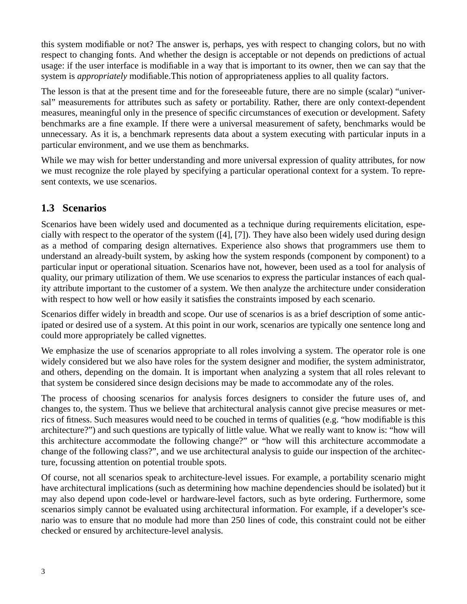this system modifiable or not? The answer is, perhaps, yes with respect to changing colors, but no with respect to changing fonts. And whether the design is acceptable or not depends on predictions of actual usage: if the user interface is modifiable in a way that is important to its owner, then we can say that the system is *appropriately* modifiable.This notion of appropriateness applies to all quality factors.

The lesson is that at the present time and for the foreseeable future, there are no simple (scalar) "universal" measurements for attributes such as safety or portability. Rather, there are only context-dependent measures, meaningful only in the presence of specific circumstances of execution or development. Safety benchmarks are a fine example. If there were a universal measurement of safety, benchmarks would be unnecessary. As it is, a benchmark represents data about a system executing with particular inputs in a particular environment, and we use them as benchmarks.

While we may wish for better understanding and more universal expression of quality attributes, for now we must recognize the role played by specifying a particular operational context for a system. To represent contexts, we use scenarios.

## **1.3 Scenarios**

Scenarios have been widely used and documented as a technique during requirements elicitation, especially with respect to the operator of the system ([4], [7]). They have also been widely used during design as a method of comparing design alternatives. Experience also shows that programmers use them to understand an already-built system, by asking how the system responds (component by component) to a particular input or operational situation. Scenarios have not, however, been used as a tool for analysis of quality, our primary utilization of them. We use scenarios to express the particular instances of each quality attribute important to the customer of a system. We then analyze the architecture under consideration with respect to how well or how easily it satisfies the constraints imposed by each scenario.

Scenarios differ widely in breadth and scope. Our use of scenarios is as a brief description of some anticipated or desired use of a system. At this point in our work, scenarios are typically one sentence long and could more appropriately be called vignettes.

We emphasize the use of scenarios appropriate to all roles involving a system. The operator role is one widely considered but we also have roles for the system designer and modifier, the system administrator, and others, depending on the domain. It is important when analyzing a system that all roles relevant to that system be considered since design decisions may be made to accommodate any of the roles.

The process of choosing scenarios for analysis forces designers to consider the future uses of, and changes to, the system. Thus we believe that architectural analysis cannot give precise measures or metrics of fitness. Such measures would need to be couched in terms of qualities (e.g. "how modifiable is this architecture?") and such questions are typically of little value. What we really want to know is: "how will this architecture accommodate the following change?" or "how will this architecture accommodate a change of the following class?", and we use architectural analysis to guide our inspection of the architecture, focussing attention on potential trouble spots.

Of course, not all scenarios speak to architecture-level issues. For example, a portability scenario might have architectural implications (such as determining how machine dependencies should be isolated) but it may also depend upon code-level or hardware-level factors, such as byte ordering. Furthermore, some scenarios simply cannot be evaluated using architectural information. For example, if a developer's scenario was to ensure that no module had more than 250 lines of code, this constraint could not be either checked or ensured by architecture-level analysis.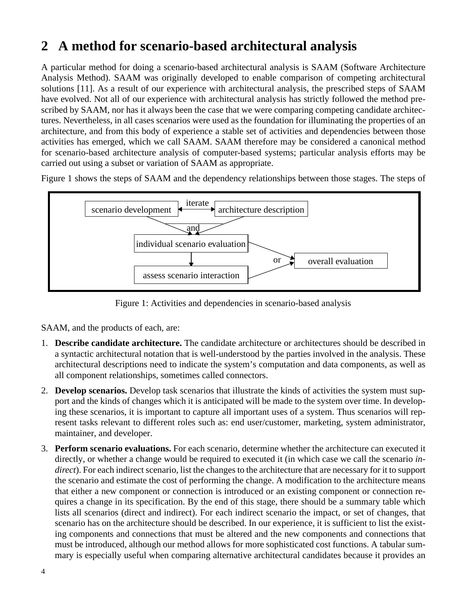# **2 A method for scenario-based architectural analysis**

A particular method for doing a scenario-based architectural analysis is SAAM (Software Architecture Analysis Method). SAAM was originally developed to enable comparison of competing architectural solutions [11]. As a result of our experience with architectural analysis, the prescribed steps of SAAM have evolved. Not all of our experience with architectural analysis has strictly followed the method prescribed by SAAM, nor has it always been the case that we were comparing competing candidate architectures. Nevertheless, in all cases scenarios were used as the foundation for illuminating the properties of an architecture, and from this body of experience a stable set of activities and dependencies between those activities has emerged, which we call SAAM. SAAM therefore may be considered a canonical method for scenario-based architecture analysis of computer-based systems; particular analysis efforts may be carried out using a subset or variation of SAAM as appropriate.

Figure 1 shows the steps of SAAM and the dependency relationships between those stages. The steps of



Figure 1: Activities and dependencies in scenario-based analysis

SAAM, and the products of each, are:

- 1. **Describe candidate architecture.** The candidate architecture or architectures should be described in a syntactic architectural notation that is well-understood by the parties involved in the analysis. These architectural descriptions need to indicate the system's computation and data components, as well as all component relationships, sometimes called connectors.
- 2. **Develop scenarios.** Develop task scenarios that illustrate the kinds of activities the system must support and the kinds of changes which it is anticipated will be made to the system over time. In developing these scenarios, it is important to capture all important uses of a system. Thus scenarios will represent tasks relevant to different roles such as: end user/customer, marketing, system administrator, maintainer, and developer.
- 3. **Perform scenario evaluations.** For each scenario, determine whether the architecture can executed it directly, or whether a change would be required to executed it (in which case we call the scenario *indirect*). For each indirect scenario, list the changes to the architecture that are necessary for it to support the scenario and estimate the cost of performing the change. A modification to the architecture means that either a new component or connection is introduced or an existing component or connection requires a change in its specification. By the end of this stage, there should be a summary table which lists all scenarios (direct and indirect). For each indirect scenario the impact, or set of changes, that scenario has on the architecture should be described. In our experience, it is sufficient to list the existing components and connections that must be altered and the new components and connections that must be introduced, although our method allows for more sophisticated cost functions. A tabular summary is especially useful when comparing alternative architectural candidates because it provides an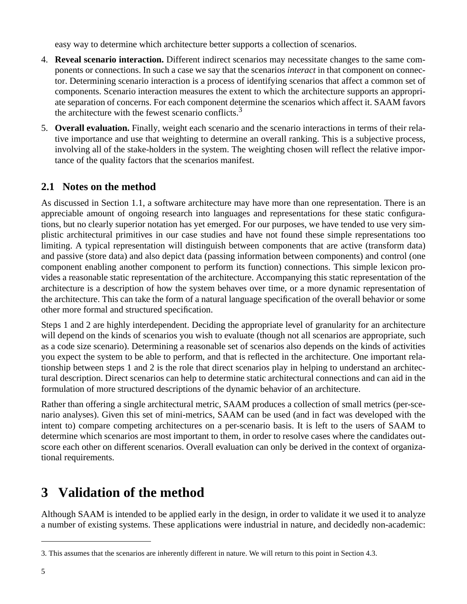easy way to determine which architecture better supports a collection of scenarios.

- 4. **Reveal scenario interaction.** Different indirect scenarios may necessitate changes to the same components or connections. In such a case we say that the scenarios *interact* in that component on connector. Determining scenario interaction is a process of identifying scenarios that affect a common set of components. Scenario interaction measures the extent to which the architecture supports an appropriate separation of concerns. For each component determine the scenarios which affect it. SAAM favors the architecture with the fewest scenario conflicts. $3$
- 5. **Overall evaluation.** Finally, weight each scenario and the scenario interactions in terms of their relative importance and use that weighting to determine an overall ranking. This is a subjective process, involving all of the stake-holders in the system. The weighting chosen will reflect the relative importance of the quality factors that the scenarios manifest.

### **2.1 Notes on the method**

As discussed in Section 1.1, a software architecture may have more than one representation. There is an appreciable amount of ongoing research into languages and representations for these static configurations, but no clearly superior notation has yet emerged. For our purposes, we have tended to use very simplistic architectural primitives in our case studies and have not found these simple representations too limiting. A typical representation will distinguish between components that are active (transform data) and passive (store data) and also depict data (passing information between components) and control (one component enabling another component to perform its function) connections. This simple lexicon provides a reasonable static representation of the architecture. Accompanying this static representation of the architecture is a description of how the system behaves over time, or a more dynamic representation of the architecture. This can take the form of a natural language specification of the overall behavior or some other more formal and structured specification.

Steps 1 and 2 are highly interdependent. Deciding the appropriate level of granularity for an architecture will depend on the kinds of scenarios you wish to evaluate (though not all scenarios are appropriate, such as a code size scenario). Determining a reasonable set of scenarios also depends on the kinds of activities you expect the system to be able to perform, and that is reflected in the architecture. One important relationship between steps 1 and 2 is the role that direct scenarios play in helping to understand an architectural description. Direct scenarios can help to determine static architectural connections and can aid in the formulation of more structured descriptions of the dynamic behavior of an architecture.

Rather than offering a single architectural metric, SAAM produces a collection of small metrics (per-scenario analyses). Given this set of mini-metrics, SAAM can be used (and in fact was developed with the intent to) compare competing architectures on a per-scenario basis. It is left to the users of SAAM to determine which scenarios are most important to them, in order to resolve cases where the candidates outscore each other on different scenarios. Overall evaluation can only be derived in the context of organizational requirements.

# **3 Validation of the method**

Although SAAM is intended to be applied early in the design, in order to validate it we used it to analyze a number of existing systems. These applications were industrial in nature, and decidedly non-academic:

<sup>3.</sup> This assumes that the scenarios are inherently different in nature. We will return to this point in Section 4.3.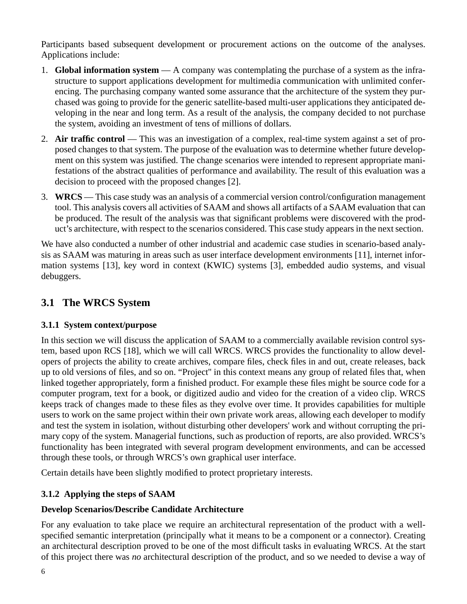Participants based subsequent development or procurement actions on the outcome of the analyses. Applications include:

- 1. **Global information system** A company was contemplating the purchase of a system as the infrastructure to support applications development for multimedia communication with unlimited conferencing. The purchasing company wanted some assurance that the architecture of the system they purchased was going to provide for the generic satellite-based multi-user applications they anticipated developing in the near and long term. As a result of the analysis, the company decided to not purchase the system, avoiding an investment of tens of millions of dollars.
- 2. **Air traffic control** This was an investigation of a complex, real-time system against a set of proposed changes to that system. The purpose of the evaluation was to determine whether future development on this system was justified. The change scenarios were intended to represent appropriate manifestations of the abstract qualities of performance and availability. The result of this evaluation was a decision to proceed with the proposed changes [2].
- 3. **WRCS** This case study was an analysis of a commercial version control/configuration management tool. This analysis covers all activities of SAAM and shows all artifacts of a SAAM evaluation that can be produced. The result of the analysis was that significant problems were discovered with the product's architecture, with respect to the scenarios considered. This case study appears in the next section.

We have also conducted a number of other industrial and academic case studies in scenario-based analysis as SAAM was maturing in areas such as user interface development environments [11], internet information systems [13], key word in context (KWIC) systems [3], embedded audio systems, and visual debuggers.

## **3.1 The WRCS System**

#### **3.1.1 System context/purpose**

In this section we will discuss the application of SAAM to a commercially available revision control system, based upon RCS [18], which we will call WRCS. WRCS provides the functionality to allow developers of projects the ability to create archives, compare files, check files in and out, create releases, back up to old versions of files, and so on. "Project'' in this context means any group of related files that, when linked together appropriately, form a finished product. For example these files might be source code for a computer program, text for a book, or digitized audio and video for the creation of a video clip. WRCS keeps track of changes made to these files as they evolve over time. It provides capabilities for multiple users to work on the same project within their own private work areas, allowing each developer to modify and test the system in isolation, without disturbing other developers' work and without corrupting the primary copy of the system. Managerial functions, such as production of reports, are also provided. WRCS's functionality has been integrated with several program development environments, and can be accessed through these tools, or through WRCS's own graphical user interface.

Certain details have been slightly modified to protect proprietary interests.

#### **3.1.2 Applying the steps of SAAM**

#### **Develop Scenarios/Describe Candidate Architecture**

For any evaluation to take place we require an architectural representation of the product with a wellspecified semantic interpretation (principally what it means to be a component or a connector). Creating an architectural description proved to be one of the most difficult tasks in evaluating WRCS. At the start of this project there was *no* architectural description of the product, and so we needed to devise a way of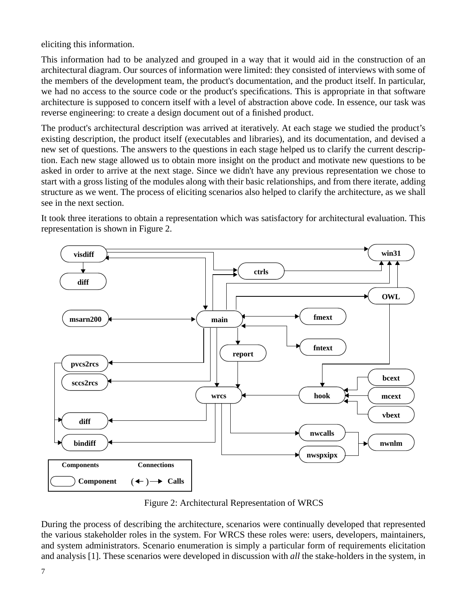eliciting this information.

This information had to be analyzed and grouped in a way that it would aid in the construction of an architectural diagram. Our sources of information were limited: they consisted of interviews with some of the members of the development team, the product's documentation, and the product itself. In particular, we had no access to the source code or the product's specifications. This is appropriate in that software architecture is supposed to concern itself with a level of abstraction above code. In essence, our task was reverse engineering: to create a design document out of a finished product.

The product's architectural description was arrived at iteratively. At each stage we studied the product's existing description, the product itself (executables and libraries), and its documentation, and devised a new set of questions. The answers to the questions in each stage helped us to clarify the current description. Each new stage allowed us to obtain more insight on the product and motivate new questions to be asked in order to arrive at the next stage. Since we didn't have any previous representation we chose to start with a gross listing of the modules along with their basic relationships, and from there iterate, adding structure as we went. The process of eliciting scenarios also helped to clarify the architecture, as we shall see in the next section.

It took three iterations to obtain a representation which was satisfactory for architectural evaluation. This representation is shown in Figure 2.



Figure 2: Architectural Representation of WRCS

During the process of describing the architecture, scenarios were continually developed that represented the various stakeholder roles in the system. For WRCS these roles were: users, developers, maintainers, and system administrators. Scenario enumeration is simply a particular form of requirements elicitation and analysis [1]. These scenarios were developed in discussion with *all* the stake-holders in the system, in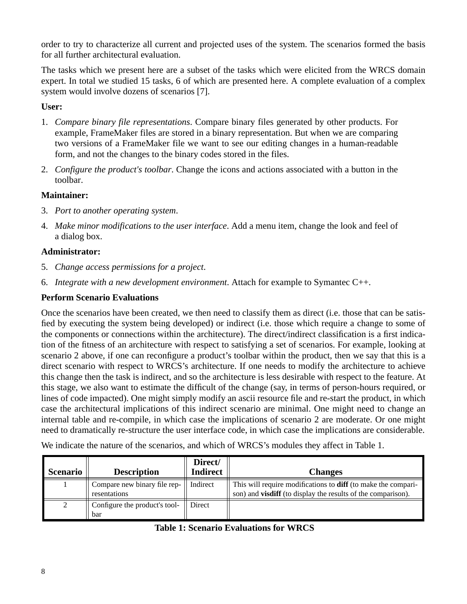order to try to characterize all current and projected uses of the system. The scenarios formed the basis for all further architectural evaluation.

The tasks which we present here are a subset of the tasks which were elicited from the WRCS domain expert. In total we studied 15 tasks, 6 of which are presented here. A complete evaluation of a complex system would involve dozens of scenarios [7].

#### **User:**

- 1. *Compare binary file representations*. Compare binary files generated by other products. For example, FrameMaker files are stored in a binary representation. But when we are comparing two versions of a FrameMaker file we want to see our editing changes in a human-readable form, and not the changes to the binary codes stored in the files.
- 2. *Configure the product's toolbar*. Change the icons and actions associated with a button in the toolbar.

#### **Maintainer:**

- 3. *Port to another operating system*.
- 4. *Make minor modifications to the user interface*. Add a menu item, change the look and feel of a dialog box.

#### **Administrator:**

- 5. *Change access permissions for a project*.
- 6. *Integrate with a new development environment*. Attach for example to Symantec C++.

#### **Perform Scenario Evaluations**

Once the scenarios have been created, we then need to classify them as direct (i.e. those that can be satisfied by executing the system being developed) or indirect (i.e. those which require a change to some of the components or connections within the architecture). The direct/indirect classification is a first indication of the fitness of an architecture with respect to satisfying a set of scenarios. For example, looking at scenario 2 above, if one can reconfigure a product's toolbar within the product, then we say that this is a direct scenario with respect to WRCS's architecture. If one needs to modify the architecture to achieve this change then the task is indirect, and so the architecture is less desirable with respect to the feature. At this stage, we also want to estimate the difficult of the change (say, in terms of person-hours required, or lines of code impacted). One might simply modify an ascii resource file and re-start the product, in which case the architectural implications of this indirect scenario are minimal. One might need to change an internal table and re-compile, in which case the implications of scenario 2 are moderate. Or one might need to dramatically re-structure the user interface code, in which case the implications are considerable.

We indicate the nature of the scenarios, and which of WRCS's modules they affect in Table 1.

| <b>Scenario</b> | <b>Description</b>                                | Direct/<br><b>Indirect</b> | <b>Changes</b>                                                                                                                              |
|-----------------|---------------------------------------------------|----------------------------|---------------------------------------------------------------------------------------------------------------------------------------------|
|                 | Compare new binary file rep- $\ $<br>resentations | Indirect                   | This will require modifications to <b>diff</b> (to make the compari-<br>son) and <b>visdiff</b> (to display the results of the comparison). |
| 2               | Configure the product's tool-<br>bar              | Direct                     |                                                                                                                                             |

#### **Table 1: Scenario Evaluations for WRCS**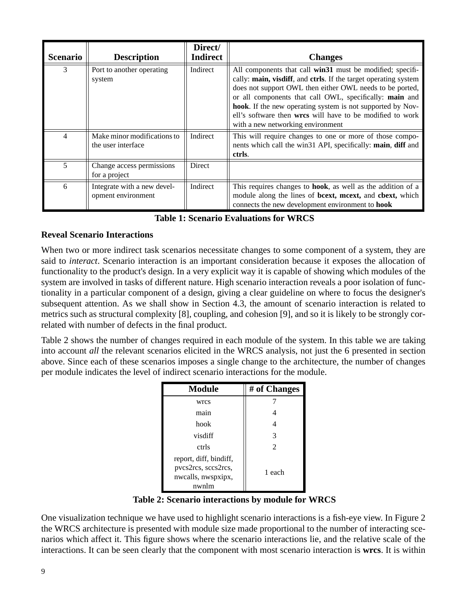| <b>Scenario</b> | <b>Description</b>                                | Direct/<br><b>Indirect</b> | <b>Changes</b>                                                                                                                                                                                                                                                                                                                                                                                                      |
|-----------------|---------------------------------------------------|----------------------------|---------------------------------------------------------------------------------------------------------------------------------------------------------------------------------------------------------------------------------------------------------------------------------------------------------------------------------------------------------------------------------------------------------------------|
| 3               | Port to another operating<br>system               | Indirect                   | All components that call win31 must be modified; specifi-<br>cally: main, visdiff, and ctrls. If the target operating system<br>does not support OWL then either OWL needs to be ported,<br>or all components that call OWL, specifically: main and<br>hook. If the new operating system is not supported by Nov-<br>ell's software then wrcs will have to be modified to work<br>with a new networking environment |
| $\overline{4}$  | Make minor modifications to<br>the user interface | Indirect                   | This will require changes to one or more of those compo-<br>nents which call the win31 API, specifically: main, diff and<br>ctrls.                                                                                                                                                                                                                                                                                  |
| 5               | Change access permissions<br>for a project        | <b>Direct</b>              |                                                                                                                                                                                                                                                                                                                                                                                                                     |
| 6               | Integrate with a new devel-<br>opment environment | Indirect                   | This requires changes to <b>hook</b> , as well as the addition of a<br>module along the lines of bcext, mcext, and cbext, which<br>connects the new development environment to <b>hook</b>                                                                                                                                                                                                                          |

| <b>Table 1: Scenario Evaluations for WRCS</b> |  |  |  |
|-----------------------------------------------|--|--|--|
|-----------------------------------------------|--|--|--|

#### **Reveal Scenario Interactions**

When two or more indirect task scenarios necessitate changes to some component of a system, they are said to *interact*. Scenario interaction is an important consideration because it exposes the allocation of functionality to the product's design. In a very explicit way it is capable of showing which modules of the system are involved in tasks of different nature. High scenario interaction reveals a poor isolation of functionality in a particular component of a design, giving a clear guideline on where to focus the designer's subsequent attention. As we shall show in Section 4.3, the amount of scenario interaction is related to metrics such as structural complexity [8], coupling, and cohesion [9], and so it is likely to be strongly correlated with number of defects in the final product.

Table 2 shows the number of changes required in each module of the system. In this table we are taking into account *all* the relevant scenarios elicited in the WRCS analysis, not just the 6 presented in section above. Since each of these scenarios imposes a single change to the architecture, the number of changes per module indicates the level of indirect scenario interactions for the module.

| <b>Module</b>                                                                | # of Changes   |  |  |
|------------------------------------------------------------------------------|----------------|--|--|
| wrcs                                                                         |                |  |  |
| main                                                                         |                |  |  |
| hook                                                                         | 4              |  |  |
| visdiff                                                                      | 3              |  |  |
| ctrls                                                                        | $\mathfrak{D}$ |  |  |
| report, diff, bindiff,<br>pvcs2rcs, sccs2rcs,<br>nwcalls, nwspxipx,<br>nwnlm | 1 each         |  |  |

 **Table 2: Scenario interactions by module for WRCS**

One visualization technique we have used to highlight scenario interactions is a fish-eye view. In Figure 2 the WRCS architecture is presented with module size made proportional to the number of interacting scenarios which affect it. This figure shows where the scenario interactions lie, and the relative scale of the interactions. It can be seen clearly that the component with most scenario interaction is **wrcs**. It is within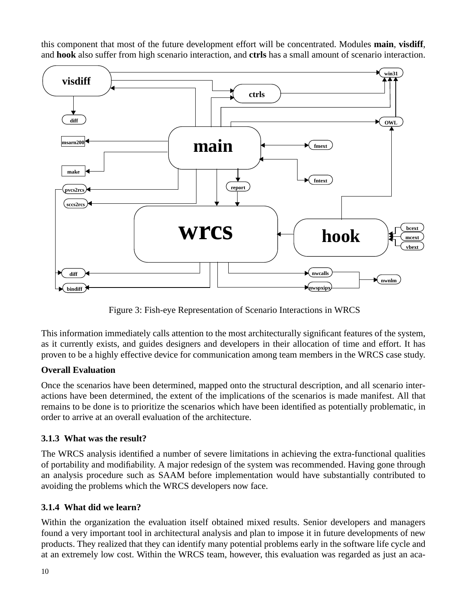this component that most of the future development effort will be concentrated. Modules **main**, **visdiff**, and **hook** also suffer from high scenario interaction, and **ctrls** has a small amount of scenario interaction.



Figure 3: Fish-eye Representation of Scenario Interactions in WRCS

This information immediately calls attention to the most architecturally significant features of the system, as it currently exists, and guides designers and developers in their allocation of time and effort. It has proven to be a highly effective device for communication among team members in the WRCS case study.

#### **Overall Evaluation**

Once the scenarios have been determined, mapped onto the structural description, and all scenario interactions have been determined, the extent of the implications of the scenarios is made manifest. All that remains to be done is to prioritize the scenarios which have been identified as potentially problematic, in order to arrive at an overall evaluation of the architecture.

#### **3.1.3 What was the result?**

The WRCS analysis identified a number of severe limitations in achieving the extra-functional qualities of portability and modifiability. A major redesign of the system was recommended. Having gone through an analysis procedure such as SAAM before implementation would have substantially contributed to avoiding the problems which the WRCS developers now face.

#### **3.1.4 What did we learn?**

Within the organization the evaluation itself obtained mixed results. Senior developers and managers found a very important tool in architectural analysis and plan to impose it in future developments of new products. They realized that they can identify many potential problems early in the software life cycle and at an extremely low cost. Within the WRCS team, however, this evaluation was regarded as just an aca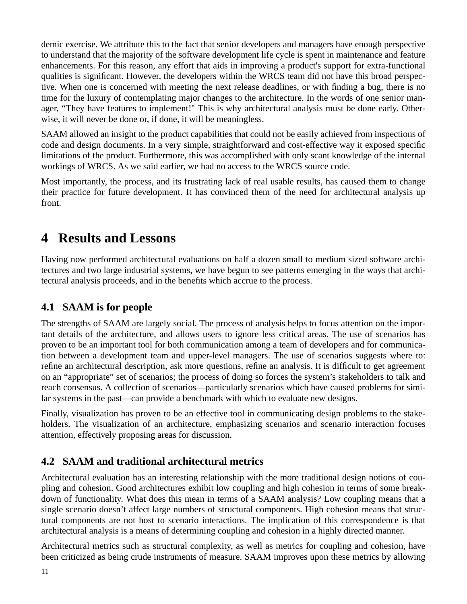demic exercise. We attribute this to the fact that senior developers and managers have enough perspective to understand that the majority of the software development life cycle is spent in maintenance and feature enhancements. For this reason, any effort that aids in improving a product's support for extra-functional qualities is significant. However, the developers within the WRCS team did not have this broad perspective. When one is concerned with meeting the next release deadlines, or with finding a bug, there is no time for the luxury of contemplating major changes to the architecture. In the words of one senior manager, "They have features to implement!'' This is why architectural analysis must be done early. Otherwise, it will never be done or, if done, it will be meaningless.

SAAM allowed an insight to the product capabilities that could not be easily achieved from inspections of code and design documents. In a very simple, straightforward and cost-effective way it exposed specific limitations of the product. Furthermore, this was accomplished with only scant knowledge of the internal workings of WRCS. As we said earlier, we had no access to the WRCS source code.

Most importantly, the process, and its frustrating lack of real usable results, has caused them to change their practice for future development. It has convinced them of the need for architectural analysis up front.

## **4 Results and Lessons**

Having now performed architectural evaluations on half a dozen small to medium sized software architectures and two large industrial systems, we have begun to see patterns emerging in the ways that architectural analysis proceeds, and in the benefits which accrue to the process.

## **4.1 SAAM is for people**

The strengths of SAAM are largely social. The process of analysis helps to focus attention on the important details of the architecture, and allows users to ignore less critical areas. The use of scenarios has proven to be an important tool for both communication among a team of developers and for communication between a development team and upper-level managers. The use of scenarios suggests where to: refine an architectural description, ask more questions, refine an analysis. It is difficult to get agreement on an "appropriate" set of scenarios; the process of doing so forces the system's stakeholders to talk and reach consensus. A collection of scenarios—particularly scenarios which have caused problems for similar systems in the past—can provide a benchmark with which to evaluate new designs.

Finally, visualization has proven to be an effective tool in communicating design problems to the stakeholders. The visualization of an architecture, emphasizing scenarios and scenario interaction focuses attention, effectively proposing areas for discussion.

## **4.2 SAAM and traditional architectural metrics**

Architectural evaluation has an interesting relationship with the more traditional design notions of coupling and cohesion. Good architectures exhibit low coupling and high cohesion in terms of some breakdown of functionality. What does this mean in terms of a SAAM analysis? Low coupling means that a single scenario doesn't affect large numbers of structural components. High cohesion means that structural components are not host to scenario interactions. The implication of this correspondence is that architectural analysis is a means of determining coupling and cohesion in a highly directed manner.

Architectural metrics such as structural complexity, as well as metrics for coupling and cohesion, have been criticized as being crude instruments of measure. SAAM improves upon these metrics by allowing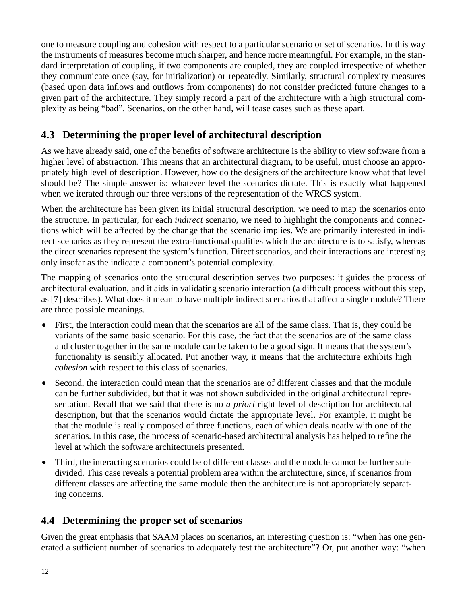one to measure coupling and cohesion with respect to a particular scenario or set of scenarios. In this way the instruments of measures become much sharper, and hence more meaningful. For example, in the standard interpretation of coupling, if two components are coupled, they are coupled irrespective of whether they communicate once (say, for initialization) or repeatedly. Similarly, structural complexity measures (based upon data inflows and outflows from components) do not consider predicted future changes to a given part of the architecture. They simply record a part of the architecture with a high structural complexity as being "bad". Scenarios, on the other hand, will tease cases such as these apart.

## **4.3 Determining the proper level of architectural description**

As we have already said, one of the benefits of software architecture is the ability to view software from a higher level of abstraction. This means that an architectural diagram, to be useful, must choose an appropriately high level of description. However, how do the designers of the architecture know what that level should be? The simple answer is: whatever level the scenarios dictate. This is exactly what happened when we iterated through our three versions of the representation of the WRCS system.

When the architecture has been given its initial structural description, we need to map the scenarios onto the structure. In particular, for each *indirect* scenario, we need to highlight the components and connections which will be affected by the change that the scenario implies. We are primarily interested in indirect scenarios as they represent the extra-functional qualities which the architecture is to satisfy, whereas the direct scenarios represent the system's function. Direct scenarios, and their interactions are interesting only insofar as the indicate a component's potential complexity.

The mapping of scenarios onto the structural description serves two purposes: it guides the process of architectural evaluation, and it aids in validating scenario interaction (a difficult process without this step, as [7] describes). What does it mean to have multiple indirect scenarios that affect a single module? There are three possible meanings.

- **•** First, the interaction could mean that the scenarios are all of the same class. That is, they could be variants of the same basic scenario. For this case, the fact that the scenarios are of the same class and cluster together in the same module can be taken to be a good sign. It means that the system's functionality is sensibly allocated. Put another way, it means that the architecture exhibits high *cohesion* with respect to this class of scenarios.
- Second, the interaction could mean that the scenarios are of different classes and that the module can be further subdivided, but that it was not shown subdivided in the original architectural representation. Recall that we said that there is no *a priori* right level of description for architectural description, but that the scenarios would dictate the appropriate level. For example, it might be that the module is really composed of three functions, each of which deals neatly with one of the scenarios. In this case, the process of scenario-based architectural analysis has helped to refine the level at which the software architectureis presented.
- Third, the interacting scenarios could be of different classes and the module cannot be further subdivided. This case reveals a potential problem area within the architecture, since, if scenarios from different classes are affecting the same module then the architecture is not appropriately separating concerns.

### **4.4 Determining the proper set of scenarios**

Given the great emphasis that SAAM places on scenarios, an interesting question is: "when has one generated a sufficient number of scenarios to adequately test the architecture"? Or, put another way: "when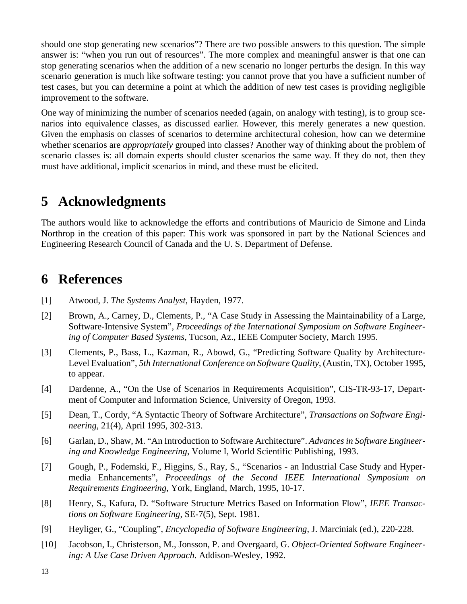should one stop generating new scenarios"? There are two possible answers to this question. The simple answer is: "when you run out of resources". The more complex and meaningful answer is that one can stop generating scenarios when the addition of a new scenario no longer perturbs the design. In this way scenario generation is much like software testing: you cannot prove that you have a sufficient number of test cases, but you can determine a point at which the addition of new test cases is providing negligible improvement to the software.

One way of minimizing the number of scenarios needed (again, on analogy with testing), is to group scenarios into equivalence classes, as discussed earlier. However, this merely generates a new question. Given the emphasis on classes of scenarios to determine architectural cohesion, how can we determine whether scenarios are *appropriately* grouped into classes? Another way of thinking about the problem of scenario classes is: all domain experts should cluster scenarios the same way. If they do not, then they must have additional, implicit scenarios in mind, and these must be elicited.

# **5 Acknowledgments**

The authors would like to acknowledge the efforts and contributions of Mauricio de Simone and Linda Northrop in the creation of this paper: This work was sponsored in part by the National Sciences and Engineering Research Council of Canada and the U. S. Department of Defense.

## **6 References**

- [1] Atwood, J. *The Systems Analyst*, Hayden, 1977.
- [2] Brown, A., Carney, D., Clements, P., "A Case Study in Assessing the Maintainability of a Large, Software-Intensive System", *Proceedings of the International Symposium on Software Engineering of Computer Based Systems*, Tucson, Az., IEEE Computer Society, March 1995.
- [3] Clements, P., Bass, L., Kazman, R., Abowd, G., "Predicting Software Quality by Architecture-Level Evaluation", *5th International Conference on Software Quality*, (Austin, TX), October 1995, to appear.
- [4] Dardenne, A., "On the Use of Scenarios in Requirements Acquisition", CIS-TR-93-17, Department of Computer and Information Science, University of Oregon, 1993.
- [5] Dean, T., Cordy, "A Syntactic Theory of Software Architecture", *Transactions on Software Engineering*, 21(4), April 1995, 302-313.
- [6] Garlan, D., Shaw, M. "An Introduction to Software Architecture". *Advances in Software Engineering and Knowledge Engineering*, Volume I, World Scientific Publishing, 1993.
- [7] Gough, P., Fodemski, F., Higgins, S., Ray, S., "Scenarios an Industrial Case Study and Hypermedia Enhancements", *Proceedings of the Second IEEE International Symposium on Requirements Engineering*, York, England, March, 1995, 10-17.
- [8] Henry, S., Kafura, D. "Software Structure Metrics Based on Information Flow", *IEEE Transactions on Software Engineering*, SE-7(5), Sept. 1981.
- [9] Heyliger, G., "Coupling", *Encyclopedia of Software Engineering*, J. Marciniak (ed.), 220-228.
- [10] Jacobson, I., Christerson, M., Jonsson, P. and Overgaard, G. *Object-Oriented Software Engineering: A Use Case Driven Approach*. Addison-Wesley, 1992.